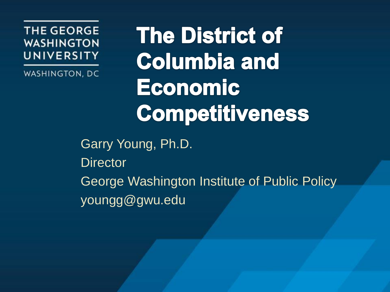**THE GEORGE WASHINGTON** UNIVERSITY

WASHINGTON, DC

**The District of Columbia and Economic** Competitiveness

Garry Young, Ph.D. **Director** George Washington Institute of Public Policy youngg@gwu.edu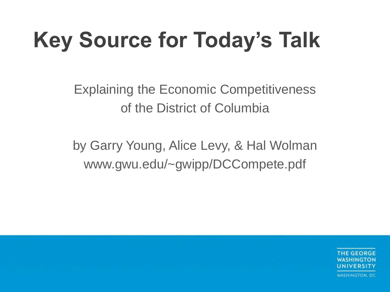## **Key Source for Today's Talk**

Explaining the Economic Competitiveness of the District of Columbia

by Garry Young, Alice Levy, & Hal Wolman www.gwu.edu/~gwipp/DCCompete.pdf

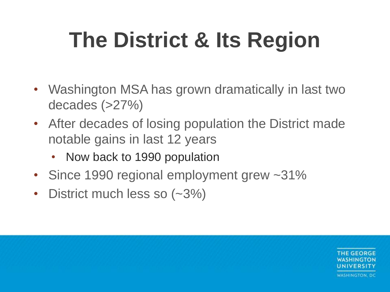## **The District & Its Region**

- Washington MSA has grown dramatically in last two decades (>27%)
- After decades of losing population the District made notable gains in last 12 years
	- Now back to 1990 population
- Since 1990 regional employment grew ~31%
- District much less so (~3%)

**THE GEORGE** INIVERSITY WASHINGTON, DC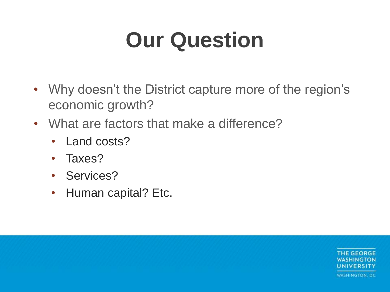#### **Our Question**

- Why doesn't the District capture more of the region's economic growth?
- What are factors that make a difference?
	- Land costs?
	- Taxes?
	- Services?
	- Human capital? Etc.

**THE GEORGE JNIVERSITY WASHINGTON, DC**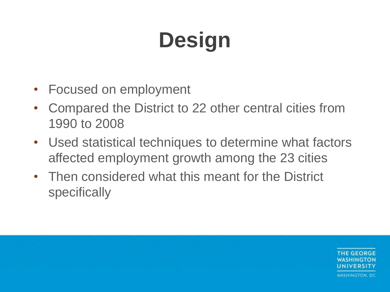# **Design**

- Focused on employment
- Compared the District to 22 other central cities from 1990 to 2008
- Used statistical techniques to determine what factors affected employment growth among the 23 cities
- Then considered what this meant for the District specifically

THE GEORGE **JNIVERSITY** WASHINGTON, DC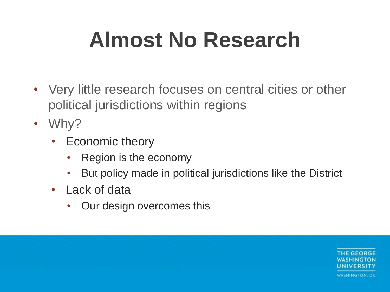#### **Almost No Research**

- Very little research focuses on central cities or other political jurisdictions within regions
- Why?
	- Economic theory
		- Region is the economy
		- But policy made in political jurisdictions like the District
	- Lack of data
		- Our design overcomes this

THE GEORGE WASHINGTON, DC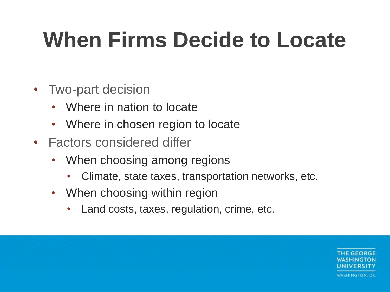#### **When Firms Decide to Locate**

- Two-part decision
	- Where in nation to locate
	- Where in chosen region to locate
- Factors considered differ
	- When choosing among regions
		- Climate, state taxes, transportation networks, etc.
	- When choosing within region
		- Land costs, taxes, regulation, crime, etc.

**THE GEORGE WASHINGTON, DC**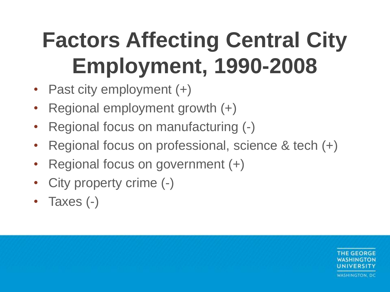## **Factors Affecting Central City Employment, 1990-2008**

- Past city employment (+)
- Regional employment growth  $(+)$
- Regional focus on manufacturing (-)
- Regional focus on professional, science & tech (+)
- Regional focus on government (+)
- City property crime  $(-)$
- Taxes (-)

**THE GEORGE JNIVERSITY** WASHINGTON, DC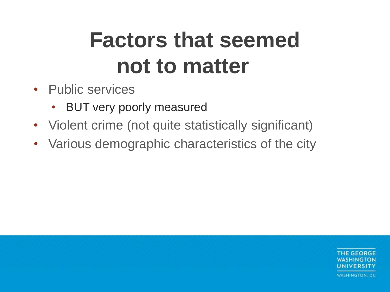#### **Factors that seemed not to matter**

- Public services
	- BUT very poorly measured
- Violent crime (not quite statistically significant)
- Various demographic characteristics of the city

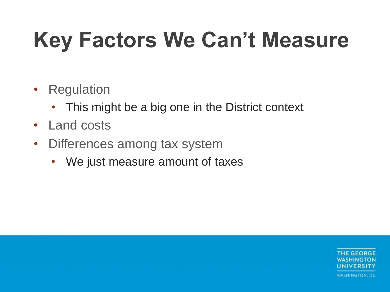#### **Key Factors We Can't Measure**

- Regulation
	- This might be a big one in the District context
- Land costs
- Differences among tax system
	- We just measure amount of taxes

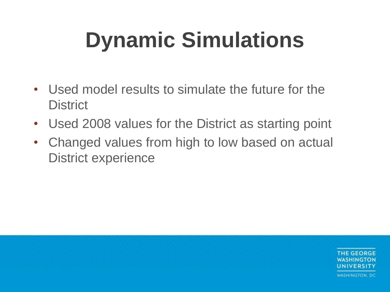## **Dynamic Simulations**

- Used model results to simulate the future for the **District**
- Used 2008 values for the District as starting point
- Changed values from high to low based on actual District experience

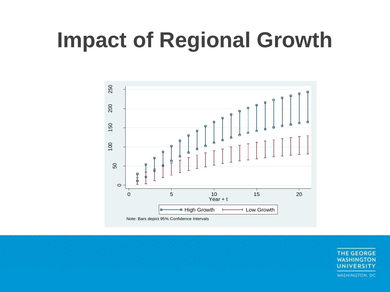#### **Impact of Regional Growth**



**THE GEORGE WASHINGTON UNIVERSITY WASHINGTON, DC**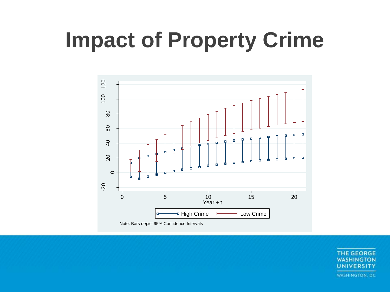#### **Impact of Property Crime**



**THE GEORGE WASHINGTON** UNIVERSITY **WASHINGTON, DC**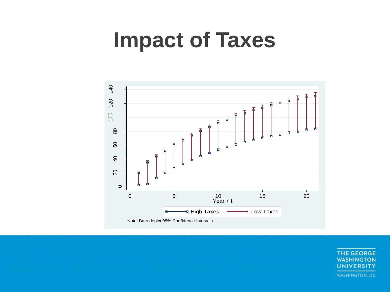#### **Impact of Taxes**



THE GEORGE **WASHINGTON UNIVERSITY WASHINGTON, DC**